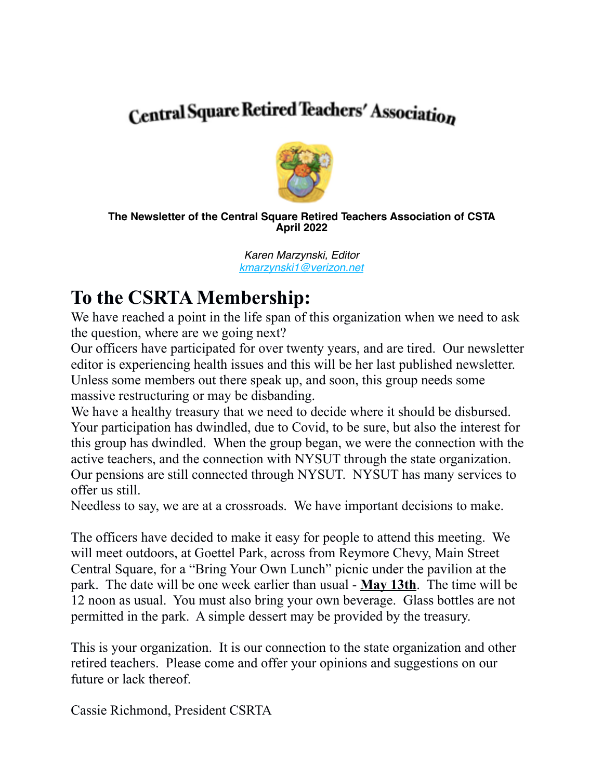# **Central Square Retired Teachers' Association**



#### **The Newsletter of the Central Square Retired Teachers Association of CSTA April 2022**

*Karen Marzynski, Editor [kmarzynski1@verizon.net](mailto:kmarzynski1@verizon.net)*

## **To the CSRTA Membership:**

We have reached a point in the life span of this organization when we need to ask the question, where are we going next?

Our officers have participated for over twenty years, and are tired. Our newsletter editor is experiencing health issues and this will be her last published newsletter. Unless some members out there speak up, and soon, this group needs some massive restructuring or may be disbanding.

We have a healthy treasury that we need to decide where it should be disbursed. Your participation has dwindled, due to Covid, to be sure, but also the interest for this group has dwindled. When the group began, we were the connection with the active teachers, and the connection with NYSUT through the state organization. Our pensions are still connected through NYSUT. NYSUT has many services to offer us still.

Needless to say, we are at a crossroads. We have important decisions to make.

The officers have decided to make it easy for people to attend this meeting. We will meet outdoors, at Goettel Park, across from Reymore Chevy, Main Street Central Square, for a "Bring Your Own Lunch" picnic under the pavilion at the park. The date will be one week earlier than usual - **May 13th**. The time will be 12 noon as usual. You must also bring your own beverage. Glass bottles are not permitted in the park. A simple dessert may be provided by the treasury.

This is your organization. It is our connection to the state organization and other retired teachers. Please come and offer your opinions and suggestions on our future or lack thereof.

Cassie Richmond, President CSRTA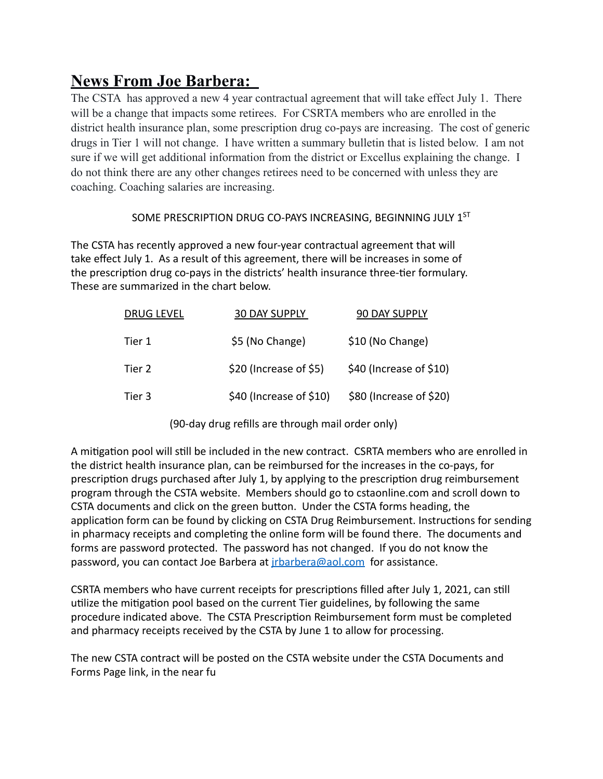### **News From Joe Barbera:**

The CSTA has approved a new 4 year contractual agreement that will take effect July 1. There will be a change that impacts some retirees. For CSRTA members who are enrolled in the district health insurance plan, some prescription drug co-pays are increasing. The cost of generic drugs in Tier 1 will not change. I have written a summary bulletin that is listed below. I am not sure if we will get additional information from the district or Excellus explaining the change. I do not think there are any other changes retirees need to be concerned with unless they are coaching. Coaching salaries are increasing.

#### SOME PRESCRIPTION DRUG CO-PAYS INCREASING, BEGINNING JULY 1ST

The CSTA has recently approved a new four-year contractual agreement that will take effect July 1. As a result of this agreement, there will be increases in some of the prescription drug co-pays in the districts' health insurance three-tier formulary. These are summarized in the chart below.

| <b>DRUG LEVEL</b> | <b>30 DAY SUPPLY</b>    | 90 DAY SUPPLY           |
|-------------------|-------------------------|-------------------------|
| Tier 1            | \$5 (No Change)         | \$10 (No Change)        |
| Tier 2            | \$20 (Increase of \$5)  | \$40 (Increase of \$10) |
| Tier 3            | \$40 (Increase of \$10) | \$80 (Increase of \$20) |

(90-day drug refills are through mail order only)

A mitigation pool will still be included in the new contract. CSRTA members who are enrolled in the district health insurance plan, can be reimbursed for the increases in the co-pays, for prescription drugs purchased after July 1, by applying to the prescription drug reimbursement program through the CSTA website. Members should go to cstaonline.com and scroll down to CSTA documents and click on the green button. Under the CSTA forms heading, the application form can be found by clicking on CSTA Drug Reimbursement. Instructions for sending in pharmacy receipts and completing the online form will be found there. The documents and forms are password protected. The password has not changed. If you do not know the password, you can contact Joe Barbera at *irbarbera@aol.com* for assistance.

CSRTA members who have current receipts for prescriptions filled after July 1, 2021, can still utilize the mitigation pool based on the current Tier guidelines, by following the same procedure indicated above. The CSTA Prescription Reimbursement form must be completed and pharmacy receipts received by the CSTA by June 1 to allow for processing.

The new CSTA contract will be posted on the CSTA website under the CSTA Documents and Forms Page link, in the near fu